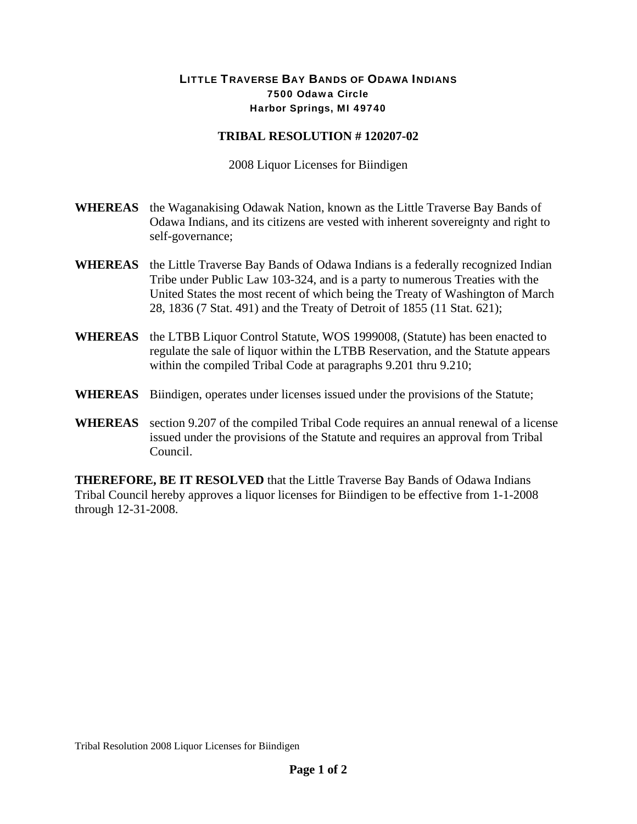## LITTLE TRAVERSE BAY BANDS OF ODAWA INDIANS 7500 Odawa Circle Harbor Springs, MI 49740

## **TRIBAL RESOLUTION # 120207-02**

2008 Liquor Licenses for Biindigen

- **WHEREAS** the Waganakising Odawak Nation, known as the Little Traverse Bay Bands of Odawa Indians, and its citizens are vested with inherent sovereignty and right to self-governance;
- **WHEREAS** the Little Traverse Bay Bands of Odawa Indians is a federally recognized Indian Tribe under Public Law 103-324, and is a party to numerous Treaties with the United States the most recent of which being the Treaty of Washington of March 28, 1836 (7 Stat. 491) and the Treaty of Detroit of 1855 (11 Stat. 621);
- **WHEREAS** the LTBB Liquor Control Statute, WOS 1999008, (Statute) has been enacted to regulate the sale of liquor within the LTBB Reservation, and the Statute appears within the compiled Tribal Code at paragraphs 9.201 thru 9.210;
- **WHEREAS** Biindigen, operates under licenses issued under the provisions of the Statute;
- **WHEREAS** section 9.207 of the compiled Tribal Code requires an annual renewal of a license issued under the provisions of the Statute and requires an approval from Tribal Council.

**THEREFORE, BE IT RESOLVED** that the Little Traverse Bay Bands of Odawa Indians Tribal Council hereby approves a liquor licenses for Biindigen to be effective from 1-1-2008 through 12-31-2008.